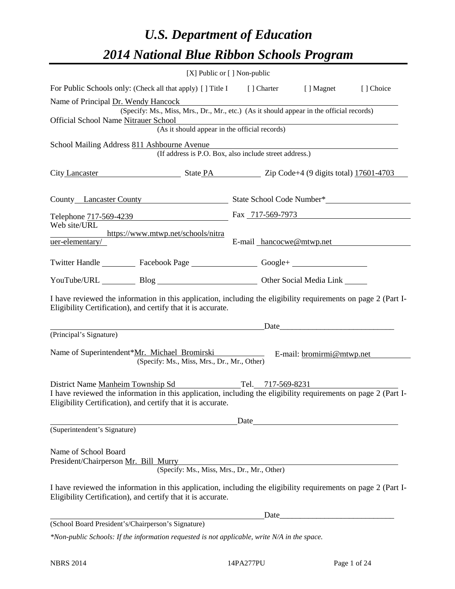# *U.S. Department of Education 2014 National Blue Ribbon Schools Program*

| [X] Public or [] Non-public                                                                                                                                                    |      |      |                          |            |
|--------------------------------------------------------------------------------------------------------------------------------------------------------------------------------|------|------|--------------------------|------------|
| For Public Schools only: (Check all that apply) [] Title I [] Charter [] Magnet                                                                                                |      |      |                          | [ ] Choice |
| Name of Principal Dr. Wendy Hancock<br>(Specify: Ms., Miss, Mrs., Dr., Mr., etc.) (As it should appear in the official records)                                                |      |      |                          |            |
| Official School Name Nitrauer School                                                                                                                                           |      |      |                          |            |
| (As it should appear in the official records)                                                                                                                                  |      |      |                          |            |
| School Mailing Address 811 Ashbourne Avenue<br>(If address is P.O. Box, also include street address.)                                                                          |      |      |                          |            |
|                                                                                                                                                                                |      |      |                          |            |
| City Lancaster State PA Zip Code+4 (9 digits total) 17601-4703                                                                                                                 |      |      |                          |            |
| County Lancaster County State School Code Number*                                                                                                                              |      |      |                          |            |
| Telephone 717-569-4239 Fax 717-569-7973                                                                                                                                        |      |      |                          |            |
| Web site/URL<br>https://www.mtwp.net/schools/nitra                                                                                                                             |      |      |                          |            |
| uer-elementary/                                                                                                                                                                |      |      | E-mail hancocwe@mtwp.net |            |
| Twitter Handle ___________ Facebook Page __________________ Google+ ____________                                                                                               |      |      |                          |            |
| YouTube/URL Blog Blog Discount Cher Social Media Link                                                                                                                          |      |      |                          |            |
| I have reviewed the information in this application, including the eligibility requirements on page 2 (Part I-<br>Eligibility Certification), and certify that it is accurate. |      |      |                          |            |
| <u>Date</u>                                                                                                                                                                    |      |      |                          |            |
| (Principal's Signature)                                                                                                                                                        |      |      |                          |            |
| Name of Superintendent*Mr. Michael Bromirski E-mail: bromirmi@mtwp.net<br>(Specify: Ms., Miss, Mrs., Dr., Mr., Other)                                                          |      |      |                          |            |
| District Name Manheim Township Sd Tel. 717-569-8231                                                                                                                            |      |      |                          |            |
| I have reviewed the information in this application, including the eligibility requirements on page 2 (Part I-<br>Eligibility Certification), and certify that it is accurate. |      |      |                          |            |
|                                                                                                                                                                                | Date |      |                          |            |
| (Superintendent's Signature)                                                                                                                                                   |      |      |                          |            |
| Name of School Board<br>President/Chairperson Mr. Bill Murry<br>(Specify: Ms., Miss, Mrs., Dr., Mr., Other)                                                                    |      |      |                          |            |
| I have reviewed the information in this application, including the eligibility requirements on page 2 (Part I-<br>Eligibility Certification), and certify that it is accurate. |      |      |                          |            |
|                                                                                                                                                                                |      | Date |                          |            |
| (School Board President's/Chairperson's Signature)                                                                                                                             |      |      |                          |            |
| *Non-public Schools: If the information requested is not applicable, write N/A in the space.                                                                                   |      |      |                          |            |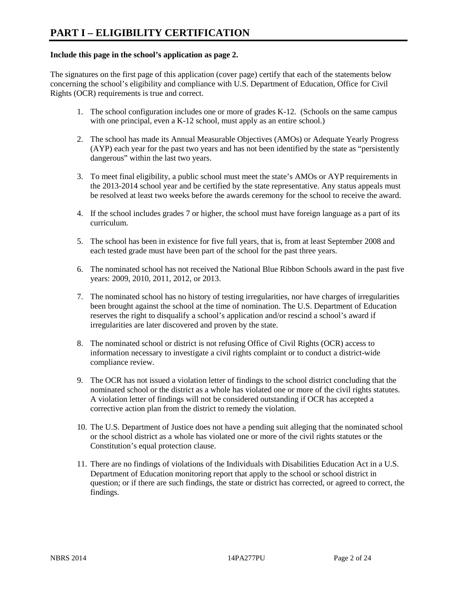#### **Include this page in the school's application as page 2.**

The signatures on the first page of this application (cover page) certify that each of the statements below concerning the school's eligibility and compliance with U.S. Department of Education, Office for Civil Rights (OCR) requirements is true and correct.

- 1. The school configuration includes one or more of grades K-12. (Schools on the same campus with one principal, even a K-12 school, must apply as an entire school.)
- 2. The school has made its Annual Measurable Objectives (AMOs) or Adequate Yearly Progress (AYP) each year for the past two years and has not been identified by the state as "persistently dangerous" within the last two years.
- 3. To meet final eligibility, a public school must meet the state's AMOs or AYP requirements in the 2013-2014 school year and be certified by the state representative. Any status appeals must be resolved at least two weeks before the awards ceremony for the school to receive the award.
- 4. If the school includes grades 7 or higher, the school must have foreign language as a part of its curriculum.
- 5. The school has been in existence for five full years, that is, from at least September 2008 and each tested grade must have been part of the school for the past three years.
- 6. The nominated school has not received the National Blue Ribbon Schools award in the past five years: 2009, 2010, 2011, 2012, or 2013.
- 7. The nominated school has no history of testing irregularities, nor have charges of irregularities been brought against the school at the time of nomination. The U.S. Department of Education reserves the right to disqualify a school's application and/or rescind a school's award if irregularities are later discovered and proven by the state.
- 8. The nominated school or district is not refusing Office of Civil Rights (OCR) access to information necessary to investigate a civil rights complaint or to conduct a district-wide compliance review.
- 9. The OCR has not issued a violation letter of findings to the school district concluding that the nominated school or the district as a whole has violated one or more of the civil rights statutes. A violation letter of findings will not be considered outstanding if OCR has accepted a corrective action plan from the district to remedy the violation.
- 10. The U.S. Department of Justice does not have a pending suit alleging that the nominated school or the school district as a whole has violated one or more of the civil rights statutes or the Constitution's equal protection clause.
- 11. There are no findings of violations of the Individuals with Disabilities Education Act in a U.S. Department of Education monitoring report that apply to the school or school district in question; or if there are such findings, the state or district has corrected, or agreed to correct, the findings.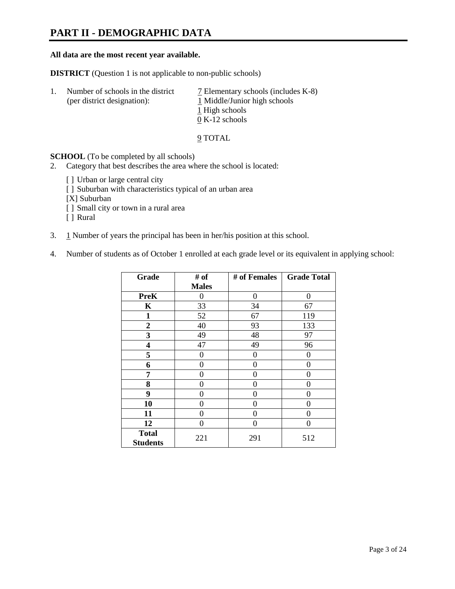# **PART II - DEMOGRAPHIC DATA**

#### **All data are the most recent year available.**

**DISTRICT** (Question 1 is not applicable to non-public schools)

| 1. | Number of schools in the district<br>(per district designation): | 7 Elementary schools (includes K-8)<br>1 Middle/Junior high schools<br>1 High schools<br>$0 K-12$ schools |
|----|------------------------------------------------------------------|-----------------------------------------------------------------------------------------------------------|
|    |                                                                  |                                                                                                           |

9 TOTAL

**SCHOOL** (To be completed by all schools)

- 2. Category that best describes the area where the school is located:
	- [] Urban or large central city
	- [ ] Suburban with characteristics typical of an urban area
	- [X] Suburban
	- [ ] Small city or town in a rural area
	- [ ] Rural
- 3. 1 Number of years the principal has been in her/his position at this school.
- 4. Number of students as of October 1 enrolled at each grade level or its equivalent in applying school:

| Grade                           | # of         | # of Females | <b>Grade Total</b> |
|---------------------------------|--------------|--------------|--------------------|
|                                 | <b>Males</b> |              |                    |
| <b>PreK</b>                     | 0            | 0            | 0                  |
| K                               | 33           | 34           | 67                 |
| $\mathbf{1}$                    | 52           | 67           | 119                |
| $\mathbf{2}$                    | 40           | 93           | 133                |
| 3                               | 49           | 48           | 97                 |
| 4                               | 47           | 49           | 96                 |
| 5                               | $\theta$     | $\Omega$     | $\theta$           |
| 6                               | 0            | 0            | 0                  |
| 7                               | 0            | 0            | 0                  |
| 8                               | 0            | 0            | 0                  |
| 9                               | 0            | 0            | 0                  |
| 10                              | 0            | 0            | 0                  |
| 11                              | 0            | 0            | 0                  |
| 12                              | 0            | 0            | 0                  |
| <b>Total</b><br><b>Students</b> | 221          | 291          | 512                |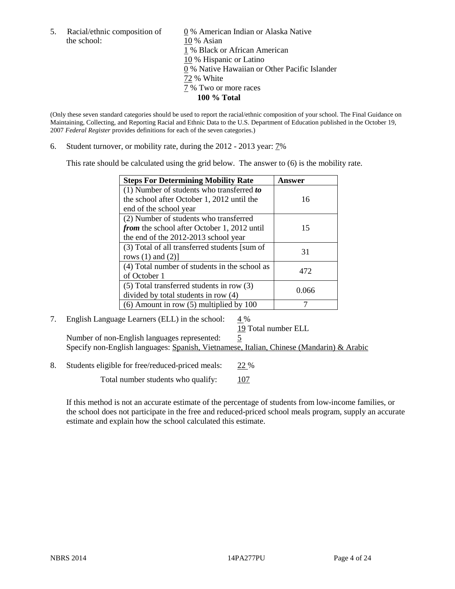the school: 10 % Asian

5. Racial/ethnic composition of  $\qquad \qquad \underline{0}$  % American Indian or Alaska Native 1 % Black or African American 10 % Hispanic or Latino 0 % Native Hawaiian or Other Pacific Islander 72 % White 7 % Two or more races **100 % Total**

(Only these seven standard categories should be used to report the racial/ethnic composition of your school. The Final Guidance on Maintaining, Collecting, and Reporting Racial and Ethnic Data to the U.S. Department of Education published in the October 19, 2007 *Federal Register* provides definitions for each of the seven categories.)

6. Student turnover, or mobility rate, during the 2012 - 2013 year: 7%

This rate should be calculated using the grid below. The answer to (6) is the mobility rate.

| <b>Steps For Determining Mobility Rate</b>         | Answer |
|----------------------------------------------------|--------|
| (1) Number of students who transferred to          |        |
| the school after October 1, 2012 until the         | 16     |
| end of the school year                             |        |
| (2) Number of students who transferred             |        |
| <i>from</i> the school after October 1, 2012 until | 15     |
| the end of the 2012-2013 school year               |        |
| (3) Total of all transferred students [sum of      | 31     |
| rows $(1)$ and $(2)$ ]                             |        |
| (4) Total number of students in the school as      | 472    |
| of October 1                                       |        |
| (5) Total transferred students in row (3)          | 0.066  |
| divided by total students in row (4)               |        |
| $(6)$ Amount in row $(5)$ multiplied by 100        |        |

### 7. English Language Learners (ELL) in the school:  $4\%$

19 Total number ELL

Number of non-English languages represented: 5 Specify non-English languages: Spanish, Vietnamese, Italian, Chinese (Mandarin) & Arabic

8. Students eligible for free/reduced-priced meals: 22 %

Total number students who qualify:  $107$ 

If this method is not an accurate estimate of the percentage of students from low-income families, or the school does not participate in the free and reduced-priced school meals program, supply an accurate estimate and explain how the school calculated this estimate.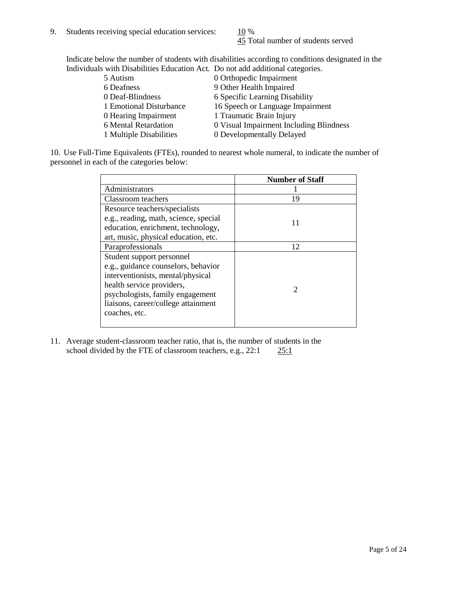45 Total number of students served

Indicate below the number of students with disabilities according to conditions designated in the Individuals with Disabilities Education Act. Do not add additional categories.

| 5 Autism                | 0 Orthopedic Impairment                 |
|-------------------------|-----------------------------------------|
| 6 Deafness              | 9 Other Health Impaired                 |
| 0 Deaf-Blindness        | 6 Specific Learning Disability          |
| 1 Emotional Disturbance | 16 Speech or Language Impairment        |
| 0 Hearing Impairment    | 1 Traumatic Brain Injury                |
| 6 Mental Retardation    | 0 Visual Impairment Including Blindness |
| 1 Multiple Disabilities | 0 Developmentally Delayed               |
|                         |                                         |

10. Use Full-Time Equivalents (FTEs), rounded to nearest whole numeral, to indicate the number of personnel in each of the categories below:

|                                       | <b>Number of Staff</b> |
|---------------------------------------|------------------------|
| Administrators                        |                        |
| Classroom teachers                    | 19                     |
| Resource teachers/specialists         |                        |
| e.g., reading, math, science, special | 11                     |
| education, enrichment, technology,    |                        |
| art, music, physical education, etc.  |                        |
| Paraprofessionals                     | 12                     |
| Student support personnel             |                        |
| e.g., guidance counselors, behavior   |                        |
| interventionists, mental/physical     |                        |
| health service providers,             |                        |
| psychologists, family engagement      |                        |
| liaisons, career/college attainment   |                        |
| coaches, etc.                         |                        |
|                                       |                        |

11. Average student-classroom teacher ratio, that is, the number of students in the school divided by the FTE of classroom teachers, e.g.,  $22:1$   $25:1$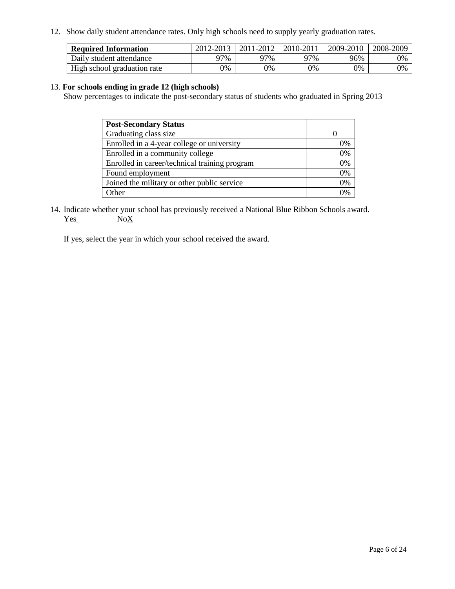12. Show daily student attendance rates. Only high schools need to supply yearly graduation rates.

| <b>Required Information</b> | 2012-2013 | 2011-2012 | 2010-2011 | 2009-2010 | 2008-2009 |
|-----------------------------|-----------|-----------|-----------|-----------|-----------|
| Daily student attendance    | 77%       | 97%       | 97%       | 96%       | 0%        |
| High school graduation rate | 0%        | 9%        | 0%        | 0%        | 0%        |

#### 13. **For schools ending in grade 12 (high schools)**

Show percentages to indicate the post-secondary status of students who graduated in Spring 2013

| <b>Post-Secondary Status</b>                  |    |
|-----------------------------------------------|----|
| Graduating class size                         |    |
| Enrolled in a 4-year college or university    | 0% |
| Enrolled in a community college               | 0% |
| Enrolled in career/technical training program | 0% |
| Found employment                              | 0% |
| Joined the military or other public service   | 0% |
| <b>Other</b>                                  | 2% |

14. Indicate whether your school has previously received a National Blue Ribbon Schools award.  $Yes_$  No $X$ 

If yes, select the year in which your school received the award.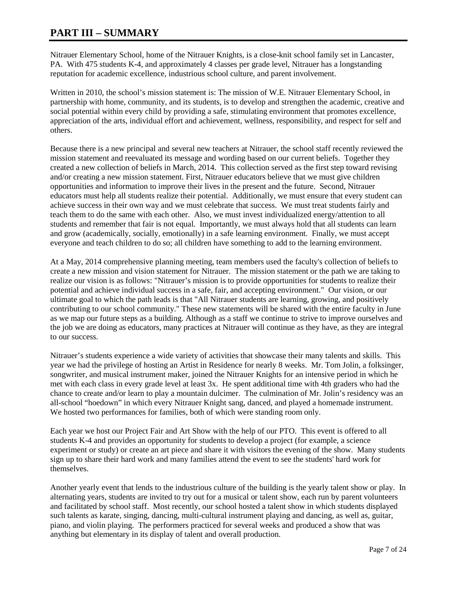# **PART III – SUMMARY**

Nitrauer Elementary School, home of the Nitrauer Knights, is a close-knit school family set in Lancaster, PA. With 475 students K-4, and approximately 4 classes per grade level, Nitrauer has a longstanding reputation for academic excellence, industrious school culture, and parent involvement.

Written in 2010, the school's mission statement is: The mission of W.E. Nitrauer Elementary School, in partnership with home, community, and its students, is to develop and strengthen the academic, creative and social potential within every child by providing a safe, stimulating environment that promotes excellence, appreciation of the arts, individual effort and achievement, wellness, responsibility, and respect for self and others.

Because there is a new principal and several new teachers at Nitrauer, the school staff recently reviewed the mission statement and reevaluated its message and wording based on our current beliefs. Together they created a new collection of beliefs in March, 2014. This collection served as the first step toward revising and/or creating a new mission statement. First, Nitrauer educators believe that we must give children opportunities and information to improve their lives in the present and the future. Second, Nitrauer educators must help all students realize their potential. Additionally, we must ensure that every student can achieve success in their own way and we must celebrate that success. We must treat students fairly and teach them to do the same with each other. Also, we must invest individualized energy/attention to all students and remember that fair is not equal. Importantly, we must always hold that all students can learn and grow (academically, socially, emotionally) in a safe learning environment. Finally, we must accept everyone and teach children to do so; all children have something to add to the learning environment.

At a May, 2014 comprehensive planning meeting, team members used the faculty's collection of beliefs to create a new mission and vision statement for Nitrauer. The mission statement or the path we are taking to realize our vision is as follows: "Nitrauer's mission is to provide opportunities for students to realize their potential and achieve individual success in a safe, fair, and accepting environment." Our vision, or our ultimate goal to which the path leads is that "All Nitrauer students are learning, growing, and positively contributing to our school community." These new statements will be shared with the entire faculty in June as we map our future steps as a building. Although as a staff we continue to strive to improve ourselves and the job we are doing as educators, many practices at Nitrauer will continue as they have, as they are integral to our success.

Nitrauer's students experience a wide variety of activities that showcase their many talents and skills. This year we had the privilege of hosting an Artist in Residence for nearly 8 weeks. Mr. Tom Jolin, a folksinger, songwriter, and musical instrument maker, joined the Nitrauer Knights for an intensive period in which he met with each class in every grade level at least 3x. He spent additional time with 4th graders who had the chance to create and/or learn to play a mountain dulcimer. The culmination of Mr. Jolin's residency was an all-school "hoedown" in which every Nitrauer Knight sang, danced, and played a homemade instrument. We hosted two performances for families, both of which were standing room only.

Each year we host our Project Fair and Art Show with the help of our PTO. This event is offered to all students K-4 and provides an opportunity for students to develop a project (for example, a science experiment or study) or create an art piece and share it with visitors the evening of the show. Many students sign up to share their hard work and many families attend the event to see the students' hard work for themselves.

Another yearly event that lends to the industrious culture of the building is the yearly talent show or play. In alternating years, students are invited to try out for a musical or talent show, each run by parent volunteers and facilitated by school staff. Most recently, our school hosted a talent show in which students displayed such talents as karate, singing, dancing, multi-cultural instrument playing and dancing, as well as, guitar, piano, and violin playing. The performers practiced for several weeks and produced a show that was anything but elementary in its display of talent and overall production.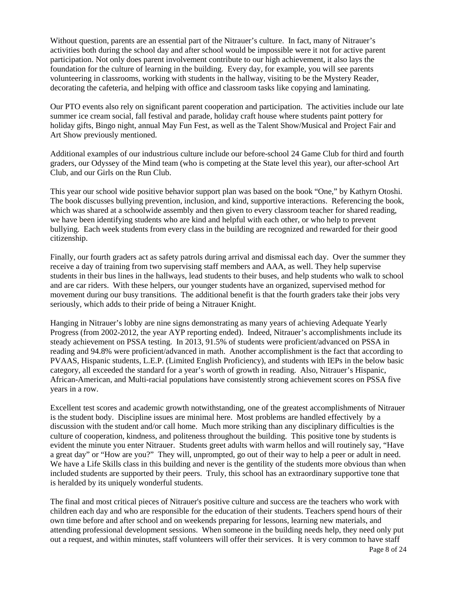Without question, parents are an essential part of the Nitrauer's culture. In fact, many of Nitrauer's activities both during the school day and after school would be impossible were it not for active parent participation. Not only does parent involvement contribute to our high achievement, it also lays the foundation for the culture of learning in the building. Every day, for example, you will see parents volunteering in classrooms, working with students in the hallway, visiting to be the Mystery Reader, decorating the cafeteria, and helping with office and classroom tasks like copying and laminating.

Our PTO events also rely on significant parent cooperation and participation. The activities include our late summer ice cream social, fall festival and parade, holiday craft house where students paint pottery for holiday gifts, Bingo night, annual May Fun Fest, as well as the Talent Show/Musical and Project Fair and Art Show previously mentioned.

Additional examples of our industrious culture include our before-school 24 Game Club for third and fourth graders, our Odyssey of the Mind team (who is competing at the State level this year), our after-school Art Club, and our Girls on the Run Club.

This year our school wide positive behavior support plan was based on the book "One," by Kathyrn Otoshi. The book discusses bullying prevention, inclusion, and kind, supportive interactions. Referencing the book, which was shared at a schoolwide assembly and then given to every classroom teacher for shared reading, we have been identifying students who are kind and helpful with each other, or who help to prevent bullying. Each week students from every class in the building are recognized and rewarded for their good citizenship.

Finally, our fourth graders act as safety patrols during arrival and dismissal each day. Over the summer they receive a day of training from two supervising staff members and AAA, as well. They help supervise students in their bus lines in the hallways, lead students to their buses, and help students who walk to school and are car riders. With these helpers, our younger students have an organized, supervised method for movement during our busy transitions. The additional benefit is that the fourth graders take their jobs very seriously, which adds to their pride of being a Nitrauer Knight.

Hanging in Nitrauer's lobby are nine signs demonstrating as many years of achieving Adequate Yearly Progress (from 2002-2012, the year AYP reporting ended). Indeed, Nitrauer's accomplishments include its steady achievement on PSSA testing. In 2013, 91.5% of students were proficient/advanced on PSSA in reading and 94.8% were proficient/advanced in math. Another accomplishment is the fact that according to PVAAS, Hispanic students, L.E.P. (Limited English Proficiency), and students with IEPs in the below basic category, all exceeded the standard for a year's worth of growth in reading. Also, Nitrauer's Hispanic, African-American, and Multi-racial populations have consistently strong achievement scores on PSSA five years in a row.

Excellent test scores and academic growth notwithstanding, one of the greatest accomplishments of Nitrauer is the student body. Discipline issues are minimal here. Most problems are handled effectively by a discussion with the student and/or call home. Much more striking than any disciplinary difficulties is the culture of cooperation, kindness, and politeness throughout the building. This positive tone by students is evident the minute you enter Nitrauer. Students greet adults with warm hellos and will routinely say, "Have a great day" or "How are you?" They will, unprompted, go out of their way to help a peer or adult in need. We have a Life Skills class in this building and never is the gentility of the students more obvious than when included students are supported by their peers. Truly, this school has an extraordinary supportive tone that is heralded by its uniquely wonderful students.

The final and most critical pieces of Nitrauer's positive culture and success are the teachers who work with children each day and who are responsible for the education of their students. Teachers spend hours of their own time before and after school and on weekends preparing for lessons, learning new materials, and attending professional development sessions. When someone in the building needs help, they need only put out a request, and within minutes, staff volunteers will offer their services. It is very common to have staff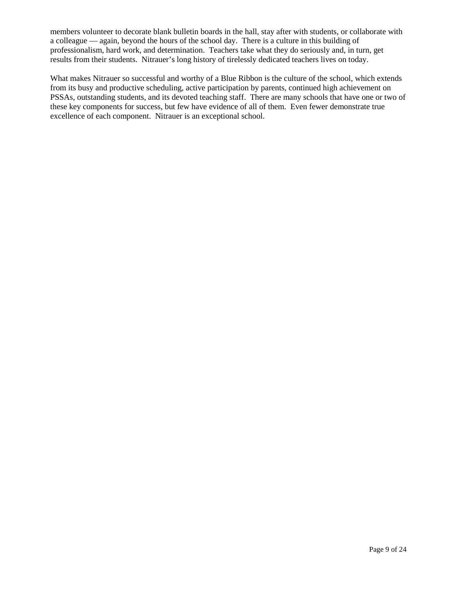members volunteer to decorate blank bulletin boards in the hall, stay after with students, or collaborate with a colleague — again, beyond the hours of the school day. There is a culture in this building of professionalism, hard work, and determination. Teachers take what they do seriously and, in turn, get results from their students. Nitrauer's long history of tirelessly dedicated teachers lives on today.

What makes Nitrauer so successful and worthy of a Blue Ribbon is the culture of the school, which extends from its busy and productive scheduling, active participation by parents, continued high achievement on PSSAs, outstanding students, and its devoted teaching staff. There are many schools that have one or two of these key components for success, but few have evidence of all of them. Even fewer demonstrate true excellence of each component. Nitrauer is an exceptional school.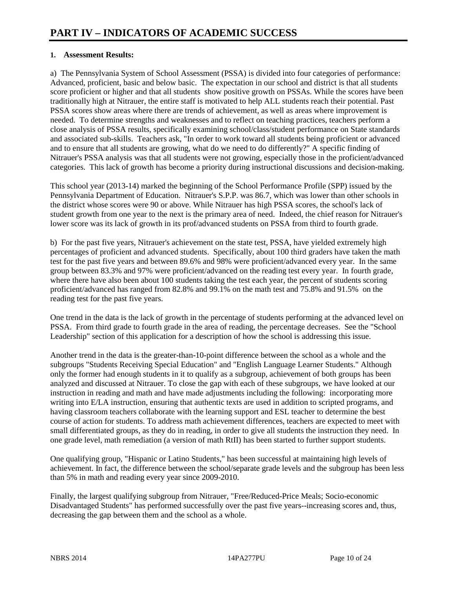#### **1. Assessment Results:**

a) The Pennsylvania System of School Assessment (PSSA) is divided into four categories of performance: Advanced, proficient, basic and below basic. The expectation in our school and district is that all students score proficient or higher and that all students show positive growth on PSSAs. While the scores have been traditionally high at Nitrauer, the entire staff is motivated to help ALL students reach their potential. Past PSSA scores show areas where there are trends of achievement, as well as areas where improvement is needed. To determine strengths and weaknesses and to reflect on teaching practices, teachers perform a close analysis of PSSA results, specifically examining school/class/student performance on State standards and associated sub-skills. Teachers ask, "In order to work toward all students being proficient or advanced and to ensure that all students are growing, what do we need to do differently?" A specific finding of Nitrauer's PSSA analysis was that all students were not growing, especially those in the proficient/advanced categories. This lack of growth has become a priority during instructional discussions and decision-making.

This school year (2013-14) marked the beginning of the School Performance Profile (SPP) issued by the Pennsylvania Department of Education. Nitrauer's S.P.P. was 86.7, which was lower than other schools in the district whose scores were 90 or above. While Nitrauer has high PSSA scores, the school's lack of student growth from one year to the next is the primary area of need. Indeed, the chief reason for Nitrauer's lower score was its lack of growth in its prof/advanced students on PSSA from third to fourth grade.

b) For the past five years, Nitrauer's achievement on the state test, PSSA, have yielded extremely high percentages of proficient and advanced students. Specifically, about 100 third graders have taken the math test for the past five years and between 89.6% and 98% were proficient/advanced every year. In the same group between 83.3% and 97% were proficient/advanced on the reading test every year. In fourth grade, where there have also been about 100 students taking the test each year, the percent of students scoring proficient/advanced has ranged from 82.8% and 99.1% on the math test and 75.8% and 91.5% on the reading test for the past five years.

One trend in the data is the lack of growth in the percentage of students performing at the advanced level on PSSA. From third grade to fourth grade in the area of reading, the percentage decreases. See the "School Leadership" section of this application for a description of how the school is addressing this issue.

Another trend in the data is the greater-than-10-point difference between the school as a whole and the subgroups "Students Receiving Special Education" and "English Language Learner Students." Although only the former had enough students in it to qualify as a subgroup, achievement of both groups has been analyzed and discussed at Nitrauer. To close the gap with each of these subgroups, we have looked at our instruction in reading and math and have made adjustments including the following: incorporating more writing into E/LA instruction, ensuring that authentic texts are used in addition to scripted programs, and having classroom teachers collaborate with the learning support and ESL teacher to determine the best course of action for students. To address math achievement differences, teachers are expected to meet with small differentiated groups, as they do in reading, in order to give all students the instruction they need. In one grade level, math remediation (a version of math RtII) has been started to further support students.

One qualifying group, "Hispanic or Latino Students," has been successful at maintaining high levels of achievement. In fact, the difference between the school/separate grade levels and the subgroup has been less than 5% in math and reading every year since 2009-2010.

Finally, the largest qualifying subgroup from Nitrauer, "Free/Reduced-Price Meals; Socio-economic Disadvantaged Students" has performed successfully over the past five years--increasing scores and, thus, decreasing the gap between them and the school as a whole.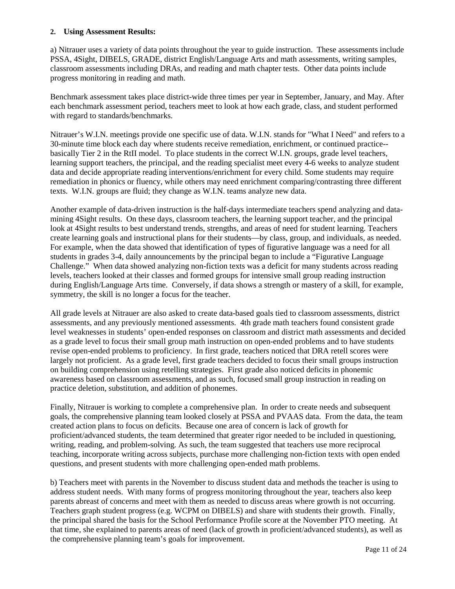#### **2. Using Assessment Results:**

a) Nitrauer uses a variety of data points throughout the year to guide instruction. These assessments include PSSA, 4Sight, DIBELS, GRADE, district English/Language Arts and math assessments, writing samples, classroom assessments including DRAs, and reading and math chapter tests. Other data points include progress monitoring in reading and math.

Benchmark assessment takes place district-wide three times per year in September, January, and May. After each benchmark assessment period, teachers meet to look at how each grade, class, and student performed with regard to standards/benchmarks.

Nitrauer's W.I.N. meetings provide one specific use of data. W.I.N. stands for "What I Need" and refers to a 30-minute time block each day where students receive remediation, enrichment, or continued practice- basically Tier 2 in the RtII model. To place students in the correct W.I.N. groups, grade level teachers, learning support teachers, the principal, and the reading specialist meet every 4-6 weeks to analyze student data and decide appropriate reading interventions/enrichment for every child. Some students may require remediation in phonics or fluency, while others may need enrichment comparing/contrasting three different texts. W.I.N. groups are fluid; they change as W.I.N. teams analyze new data.

Another example of data-driven instruction is the half-days intermediate teachers spend analyzing and datamining 4Sight results. On these days, classroom teachers, the learning support teacher, and the principal look at 4Sight results to best understand trends, strengths, and areas of need for student learning. Teachers create learning goals and instructional plans for their students—by class, group, and individuals, as needed. For example, when the data showed that identification of types of figurative language was a need for all students in grades 3-4, daily announcements by the principal began to include a "Figurative Language Challenge." When data showed analyzing non-fiction texts was a deficit for many students across reading levels, teachers looked at their classes and formed groups for intensive small group reading instruction during English/Language Arts time. Conversely, if data shows a strength or mastery of a skill, for example, symmetry, the skill is no longer a focus for the teacher.

All grade levels at Nitrauer are also asked to create data-based goals tied to classroom assessments, district assessments, and any previously mentioned assessments. 4th grade math teachers found consistent grade level weaknesses in students' open-ended responses on classroom and district math assessments and decided as a grade level to focus their small group math instruction on open-ended problems and to have students revise open-ended problems to proficiency. In first grade, teachers noticed that DRA retell scores were largely not proficient. As a grade level, first grade teachers decided to focus their small groups instruction on building comprehension using retelling strategies. First grade also noticed deficits in phonemic awareness based on classroom assessments, and as such, focused small group instruction in reading on practice deletion, substitution, and addition of phonemes.

Finally, Nitrauer is working to complete a comprehensive plan. In order to create needs and subsequent goals, the comprehensive planning team looked closely at PSSA and PVAAS data. From the data, the team created action plans to focus on deficits. Because one area of concern is lack of growth for proficient/advanced students, the team determined that greater rigor needed to be included in questioning, writing, reading, and problem-solving. As such, the team suggested that teachers use more reciprocal teaching, incorporate writing across subjects, purchase more challenging non-fiction texts with open ended questions, and present students with more challenging open-ended math problems.

b) Teachers meet with parents in the November to discuss student data and methods the teacher is using to address student needs. With many forms of progress monitoring throughout the year, teachers also keep parents abreast of concerns and meet with them as needed to discuss areas where growth is not occurring. Teachers graph student progress (e.g. WCPM on DIBELS) and share with students their growth. Finally, the principal shared the basis for the School Performance Profile score at the November PTO meeting. At that time, she explained to parents areas of need (lack of growth in proficient/advanced students), as well as the comprehensive planning team's goals for improvement.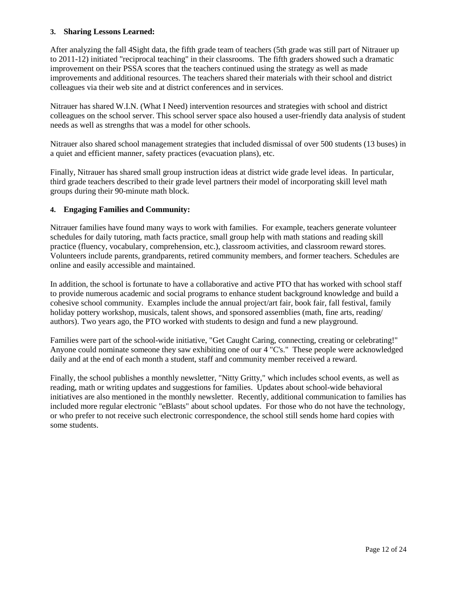#### **3. Sharing Lessons Learned:**

After analyzing the fall 4Sight data, the fifth grade team of teachers (5th grade was still part of Nitrauer up to 2011-12) initiated "reciprocal teaching" in their classrooms. The fifth graders showed such a dramatic improvement on their PSSA scores that the teachers continued using the strategy as well as made improvements and additional resources. The teachers shared their materials with their school and district colleagues via their web site and at district conferences and in services.

Nitrauer has shared W.I.N. (What I Need) intervention resources and strategies with school and district colleagues on the school server. This school server space also housed a user-friendly data analysis of student needs as well as strengths that was a model for other schools.

Nitrauer also shared school management strategies that included dismissal of over 500 students (13 buses) in a quiet and efficient manner, safety practices (evacuation plans), etc.

Finally, Nitrauer has shared small group instruction ideas at district wide grade level ideas. In particular, third grade teachers described to their grade level partners their model of incorporating skill level math groups during their 90-minute math block.

#### **4. Engaging Families and Community:**

Nitrauer families have found many ways to work with families. For example, teachers generate volunteer schedules for daily tutoring, math facts practice, small group help with math stations and reading skill practice (fluency, vocabulary, comprehension, etc.), classroom activities, and classroom reward stores. Volunteers include parents, grandparents, retired community members, and former teachers. Schedules are online and easily accessible and maintained.

In addition, the school is fortunate to have a collaborative and active PTO that has worked with school staff to provide numerous academic and social programs to enhance student background knowledge and build a cohesive school community. Examples include the annual project/art fair, book fair, fall festival, family holiday pottery workshop, musicals, talent shows, and sponsored assemblies (math, fine arts, reading/ authors). Two years ago, the PTO worked with students to design and fund a new playground.

Families were part of the school-wide initiative, "Get Caught Caring, connecting, creating or celebrating!" Anyone could nominate someone they saw exhibiting one of our 4 "C's." These people were acknowledged daily and at the end of each month a student, staff and community member received a reward.

Finally, the school publishes a monthly newsletter, "Nitty Gritty," which includes school events, as well as reading, math or writing updates and suggestions for families. Updates about school-wide behavioral initiatives are also mentioned in the monthly newsletter. Recently, additional communication to families has included more regular electronic "eBlasts" about school updates. For those who do not have the technology, or who prefer to not receive such electronic correspondence, the school still sends home hard copies with some students.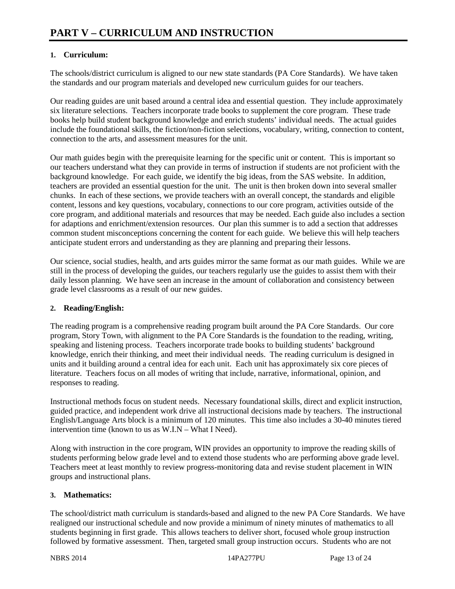# **1. Curriculum:**

The schools/district curriculum is aligned to our new state standards (PA Core Standards). We have taken the standards and our program materials and developed new curriculum guides for our teachers.

Our reading guides are unit based around a central idea and essential question. They include approximately six literature selections. Teachers incorporate trade books to supplement the core program. These trade books help build student background knowledge and enrich students' individual needs. The actual guides include the foundational skills, the fiction/non-fiction selections, vocabulary, writing, connection to content, connection to the arts, and assessment measures for the unit.

Our math guides begin with the prerequisite learning for the specific unit or content. This is important so our teachers understand what they can provide in terms of instruction if students are not proficient with the background knowledge. For each guide, we identify the big ideas, from the SAS website. In addition, teachers are provided an essential question for the unit. The unit is then broken down into several smaller chunks. In each of these sections, we provide teachers with an overall concept, the standards and eligible content, lessons and key questions, vocabulary, connections to our core program, activities outside of the core program, and additional materials and resources that may be needed. Each guide also includes a section for adaptions and enrichment/extension resources. Our plan this summer is to add a section that addresses common student misconceptions concerning the content for each guide. We believe this will help teachers anticipate student errors and understanding as they are planning and preparing their lessons.

Our science, social studies, health, and arts guides mirror the same format as our math guides. While we are still in the process of developing the guides, our teachers regularly use the guides to assist them with their daily lesson planning. We have seen an increase in the amount of collaboration and consistency between grade level classrooms as a result of our new guides.

### **2. Reading/English:**

The reading program is a comprehensive reading program built around the PA Core Standards. Our core program, Story Town, with alignment to the PA Core Standards is the foundation to the reading, writing, speaking and listening process. Teachers incorporate trade books to building students' background knowledge, enrich their thinking, and meet their individual needs. The reading curriculum is designed in units and it building around a central idea for each unit. Each unit has approximately six core pieces of literature. Teachers focus on all modes of writing that include, narrative, informational, opinion, and responses to reading.

Instructional methods focus on student needs. Necessary foundational skills, direct and explicit instruction, guided practice, and independent work drive all instructional decisions made by teachers. The instructional English/Language Arts block is a minimum of 120 minutes. This time also includes a 30-40 minutes tiered intervention time (known to us as W.I.N – What I Need).

Along with instruction in the core program, WIN provides an opportunity to improve the reading skills of students performing below grade level and to extend those students who are performing above grade level. Teachers meet at least monthly to review progress-monitoring data and revise student placement in WIN groups and instructional plans.

### **3. Mathematics:**

The school/district math curriculum is standards-based and aligned to the new PA Core Standards. We have realigned our instructional schedule and now provide a minimum of ninety minutes of mathematics to all students beginning in first grade. This allows teachers to deliver short, focused whole group instruction followed by formative assessment. Then, targeted small group instruction occurs. Students who are not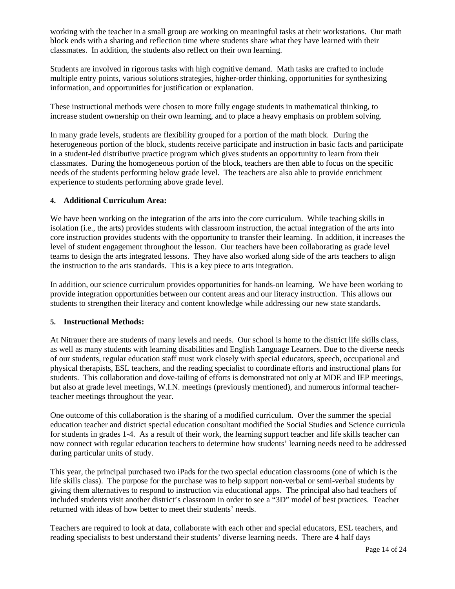working with the teacher in a small group are working on meaningful tasks at their workstations. Our math block ends with a sharing and reflection time where students share what they have learned with their classmates. In addition, the students also reflect on their own learning.

Students are involved in rigorous tasks with high cognitive demand. Math tasks are crafted to include multiple entry points, various solutions strategies, higher-order thinking, opportunities for synthesizing information, and opportunities for justification or explanation.

These instructional methods were chosen to more fully engage students in mathematical thinking, to increase student ownership on their own learning, and to place a heavy emphasis on problem solving.

In many grade levels, students are flexibility grouped for a portion of the math block. During the heterogeneous portion of the block, students receive participate and instruction in basic facts and participate in a student-led distributive practice program which gives students an opportunity to learn from their classmates. During the homogeneous portion of the block, teachers are then able to focus on the specific needs of the students performing below grade level. The teachers are also able to provide enrichment experience to students performing above grade level.

#### **4. Additional Curriculum Area:**

We have been working on the integration of the arts into the core curriculum. While teaching skills in isolation (i.e., the arts) provides students with classroom instruction, the actual integration of the arts into core instruction provides students with the opportunity to transfer their learning. In addition, it increases the level of student engagement throughout the lesson. Our teachers have been collaborating as grade level teams to design the arts integrated lessons. They have also worked along side of the arts teachers to align the instruction to the arts standards. This is a key piece to arts integration.

In addition, our science curriculum provides opportunities for hands-on learning. We have been working to provide integration opportunities between our content areas and our literacy instruction. This allows our students to strengthen their literacy and content knowledge while addressing our new state standards.

#### **5. Instructional Methods:**

At Nitrauer there are students of many levels and needs. Our school is home to the district life skills class, as well as many students with learning disabilities and English Language Learners. Due to the diverse needs of our students, regular education staff must work closely with special educators, speech, occupational and physical therapists, ESL teachers, and the reading specialist to coordinate efforts and instructional plans for students. This collaboration and dove-tailing of efforts is demonstrated not only at MDE and IEP meetings, but also at grade level meetings, W.I.N. meetings (previously mentioned), and numerous informal teacherteacher meetings throughout the year.

One outcome of this collaboration is the sharing of a modified curriculum. Over the summer the special education teacher and district special education consultant modified the Social Studies and Science curricula for students in grades 1-4. As a result of their work, the learning support teacher and life skills teacher can now connect with regular education teachers to determine how students' learning needs need to be addressed during particular units of study.

This year, the principal purchased two iPads for the two special education classrooms (one of which is the life skills class). The purpose for the purchase was to help support non-verbal or semi-verbal students by giving them alternatives to respond to instruction via educational apps. The principal also had teachers of included students visit another district's classroom in order to see a "3D" model of best practices. Teacher returned with ideas of how better to meet their students' needs.

Teachers are required to look at data, collaborate with each other and special educators, ESL teachers, and reading specialists to best understand their students' diverse learning needs. There are 4 half days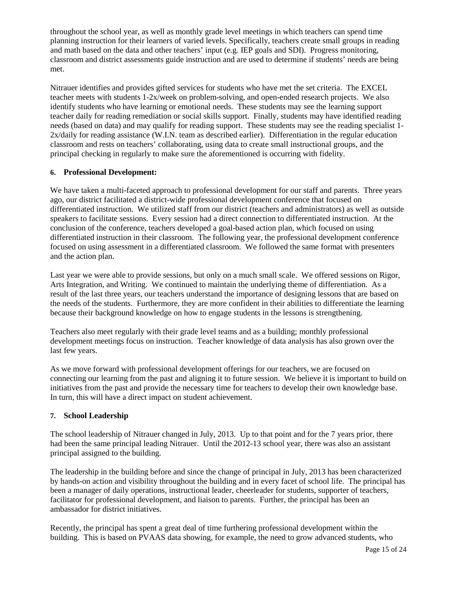throughout the school year, as well as monthly grade level meetings in which teachers can spend time planning instruction for their learners of varied levels. Specifically, teachers create small groups in reading and math based on the data and other teachers' input (e.g. IEP goals and SDI). Progress monitoring, classroom and district assessments guide instruction and are used to determine if students' needs are being met.

Nitrauer identifies and provides gifted services for students who have met the set criteria. The EXCEL teacher meets with students 1-2x/week on problem-solving, and open-ended research projects. We also identify students who have learning or emotional needs. These students may see the learning support teacher daily for reading remediation or social skills support. Finally, students may have identified reading needs (based on data) and may qualify for reading support. These students may see the reading specialist 1- 2x/daily for reading assistance (W.I.N. team as described earlier). Differentiation in the regular education classroom and rests on teachers' collaborating, using data to create small instructional groups, and the principal checking in regularly to make sure the aforementioned is occurring with fidelity.

### **6. Professional Development:**

We have taken a multi-faceted approach to professional development for our staff and parents. Three years ago, our district facilitated a district-wide professional development conference that focused on differentiated instruction. We utilized staff from our district (teachers and administrators) as well as outside speakers to facilitate sessions. Every session had a direct connection to differentiated instruction. At the conclusion of the conference, teachers developed a goal-based action plan, which focused on using differentiated instruction in their classroom. The following year, the professional development conference focused on using assessment in a differentiated classroom. We followed the same format with presenters and the action plan.

Last year we were able to provide sessions, but only on a much small scale. We offered sessions on Rigor, Arts Integration, and Writing. We continued to maintain the underlying theme of differentiation. As a result of the last three years, our teachers understand the importance of designing lessons that are based on the needs of the students. Furthermore, they are more confident in their abilities to differentiate the learning because their background knowledge on how to engage students in the lessons is strengthening.

Teachers also meet regularly with their grade level teams and as a building; monthly professional development meetings focus on instruction. Teacher knowledge of data analysis has also grown over the last few years.

As we move forward with professional development offerings for our teachers, we are focused on connecting our learning from the past and aligning it to future session. We believe it is important to build on initiatives from the past and provide the necessary time for teachers to develop their own knowledge base. In turn, this will have a direct impact on student achievement.

### **7. School Leadership**

The school leadership of Nitrauer changed in July, 2013. Up to that point and for the 7 years prior, there had been the same principal leading Nitrauer. Until the 2012-13 school year, there was also an assistant principal assigned to the building.

The leadership in the building before and since the change of principal in July, 2013 has been characterized by hands-on action and visibility throughout the building and in every facet of school life. The principal has been a manager of daily operations, instructional leader, cheerleader for students, supporter of teachers, facilitator for professional development, and liaison to parents. Further, the principal has been an ambassador for district initiatives.

Recently, the principal has spent a great deal of time furthering professional development within the building. This is based on PVAAS data showing, for example, the need to grow advanced students, who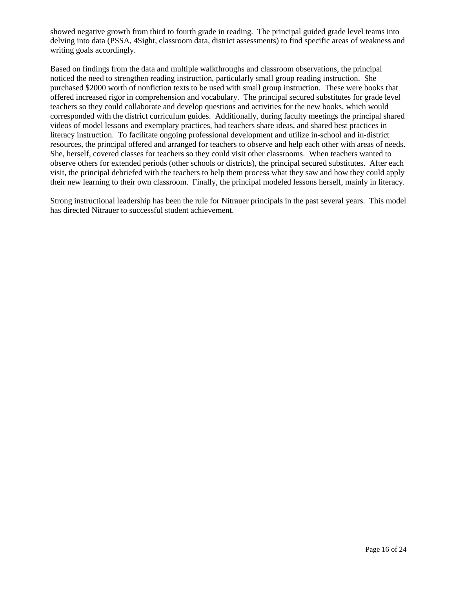showed negative growth from third to fourth grade in reading. The principal guided grade level teams into delving into data (PSSA, 4Sight, classroom data, district assessments) to find specific areas of weakness and writing goals accordingly.

Based on findings from the data and multiple walkthroughs and classroom observations, the principal noticed the need to strengthen reading instruction, particularly small group reading instruction. She purchased \$2000 worth of nonfiction texts to be used with small group instruction. These were books that offered increased rigor in comprehension and vocabulary. The principal secured substitutes for grade level teachers so they could collaborate and develop questions and activities for the new books, which would corresponded with the district curriculum guides. Additionally, during faculty meetings the principal shared videos of model lessons and exemplary practices, had teachers share ideas, and shared best practices in literacy instruction. To facilitate ongoing professional development and utilize in-school and in-district resources, the principal offered and arranged for teachers to observe and help each other with areas of needs. She, herself, covered classes for teachers so they could visit other classrooms. When teachers wanted to observe others for extended periods (other schools or districts), the principal secured substitutes. After each visit, the principal debriefed with the teachers to help them process what they saw and how they could apply their new learning to their own classroom. Finally, the principal modeled lessons herself, mainly in literacy.

Strong instructional leadership has been the rule for Nitrauer principals in the past several years. This model has directed Nitrauer to successful student achievement.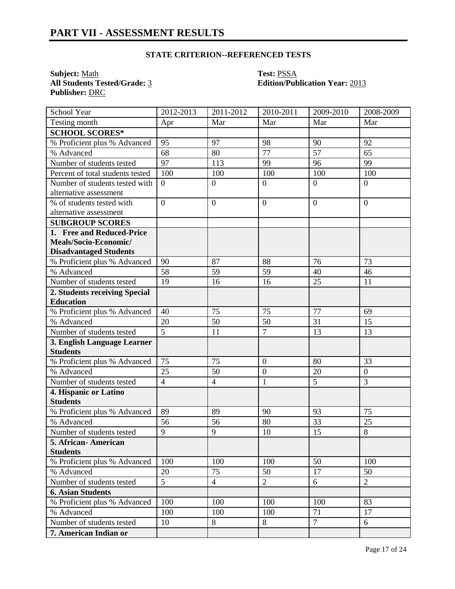## **STATE CRITERION--REFERENCED TESTS**

**Subject:** <u>Math</u><br> **All Students Tested/Grade:** <u>3</u> **Test: PSSA**<br> **Edition/Pub Publisher:** DRC

# **All Students Tested/Grade:** 3 **Edition/Publication Year:** 2013

| School Year                      | 2012-2013      | 2011-2012        | 2010-2011        | 2009-2010       | 2008-2009      |
|----------------------------------|----------------|------------------|------------------|-----------------|----------------|
| Testing month                    | Apr            | Mar              | Mar              | Mar             | Mar            |
| <b>SCHOOL SCORES*</b>            |                |                  |                  |                 |                |
| % Proficient plus % Advanced     | 95             | 97               | 98               | 90              | 92             |
| % Advanced                       | 68             | 80               | $\overline{77}$  | $\overline{57}$ | 65             |
| Number of students tested        | 97             | 113              | 99               | 96              | 99             |
| Percent of total students tested | 100            | 100              | 100              | 100             | 100            |
| Number of students tested with   | $\overline{0}$ | $\overline{0}$   | $\overline{0}$   | $\theta$        | $\overline{0}$ |
| alternative assessment           |                |                  |                  |                 |                |
| % of students tested with        | $\overline{0}$ | $\boldsymbol{0}$ | $\overline{0}$   | $\theta$        | $\overline{0}$ |
| alternative assessment           |                |                  |                  |                 |                |
| <b>SUBGROUP SCORES</b>           |                |                  |                  |                 |                |
| 1. Free and Reduced-Price        |                |                  |                  |                 |                |
| Meals/Socio-Economic/            |                |                  |                  |                 |                |
| <b>Disadvantaged Students</b>    |                |                  |                  |                 |                |
| % Proficient plus % Advanced     | 90             | 87               | 88               | 76              | 73             |
| % Advanced                       | 58             | 59               | 59               | 40              | 46             |
| Number of students tested        | 19             | 16               | 16               | 25              | 11             |
| 2. Students receiving Special    |                |                  |                  |                 |                |
| <b>Education</b>                 |                |                  |                  |                 |                |
| % Proficient plus % Advanced     | 40             | 75               | 75               | 77              | 69             |
| % Advanced                       | 20             | 50               | 50               | 31              | 15             |
| Number of students tested        | $\overline{5}$ | 11               | $\overline{7}$   | 13              | 13             |
| 3. English Language Learner      |                |                  |                  |                 |                |
| <b>Students</b>                  |                |                  |                  |                 |                |
| % Proficient plus % Advanced     | 75             | 75               | $\mathbf{0}$     | 80              | 33             |
| % Advanced                       | 25             | 50               | $\boldsymbol{0}$ | 20              | $\overline{0}$ |
| Number of students tested        | $\overline{4}$ | $\overline{4}$   | $\mathbf{1}$     | 5               | 3              |
| 4. Hispanic or Latino            |                |                  |                  |                 |                |
| <b>Students</b>                  |                |                  |                  |                 |                |
| % Proficient plus % Advanced     | 89             | 89               | 90               | 93              | 75             |
| % Advanced                       | 56             | 56               | 80               | 33              | 25             |
| Number of students tested        | 9              | 9                | 10               | 15              | 8              |
| 5. African-American              |                |                  |                  |                 |                |
| <b>Students</b>                  |                |                  |                  |                 |                |
| % Proficient plus % Advanced     | 100            | 100              | 100              | 50              | 100            |
| % Advanced                       | 20             | 75               | 50               | 17              | 50             |
| Number of students tested        | 5              | $\overline{4}$   | $\overline{2}$   | 6               | $\overline{2}$ |
| <b>6. Asian Students</b>         |                |                  |                  |                 |                |
| % Proficient plus % Advanced     | 100            | 100              | 100              | 100             | 83             |
| % Advanced                       | 100            | 100              | 100              | 71              | 17             |
| Number of students tested        | 10             | 8                | 8                | $\overline{7}$  | 6              |
| 7. American Indian or            |                |                  |                  |                 |                |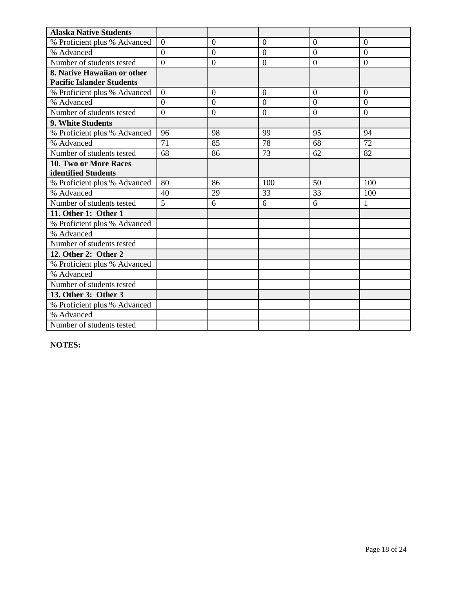| <b>Alaska Native Students</b>    |                |                  |                 |                |                |
|----------------------------------|----------------|------------------|-----------------|----------------|----------------|
| % Proficient plus % Advanced     | $\overline{0}$ | $\theta$         | $\overline{0}$  | $\overline{0}$ | $\overline{0}$ |
| % Advanced                       | $\overline{0}$ | $\boldsymbol{0}$ | $\overline{0}$  | $\overline{0}$ | $\overline{0}$ |
| Number of students tested        | $\theta$       | $\overline{0}$   | $\overline{0}$  | $\overline{0}$ | $\overline{0}$ |
| 8. Native Hawaiian or other      |                |                  |                 |                |                |
| <b>Pacific Islander Students</b> |                |                  |                 |                |                |
| % Proficient plus % Advanced     | $\overline{0}$ | $\theta$         | $\overline{0}$  | $\overline{0}$ | $\overline{0}$ |
| % Advanced                       | $\theta$       | $\overline{0}$   | $\theta$        | $\theta$       | $\theta$       |
| Number of students tested        | $\Omega$       | $\mathbf{0}$     | $\Omega$        | $\overline{0}$ | $\Omega$       |
| 9. White Students                |                |                  |                 |                |                |
| % Proficient plus % Advanced     | 96             | 98               | 99              | 95             | 94             |
| % Advanced                       | 71             | 85               | $\overline{78}$ | 68             | 72             |
| Number of students tested        | 68             | 86               | 73              | 62             | 82             |
| <b>10. Two or More Races</b>     |                |                  |                 |                |                |
| identified Students              |                |                  |                 |                |                |
| % Proficient plus % Advanced     | 80             | 86               | 100             | 50             | 100            |
| % Advanced                       | 40             | 29               | 33              | 33             | 100            |
| Number of students tested        | 5              | 6                | 6               | 6              | $\mathbf{1}$   |
| 11. Other 1: Other 1             |                |                  |                 |                |                |
| % Proficient plus % Advanced     |                |                  |                 |                |                |
| % Advanced                       |                |                  |                 |                |                |
| Number of students tested        |                |                  |                 |                |                |
| 12. Other 2: Other 2             |                |                  |                 |                |                |
| % Proficient plus % Advanced     |                |                  |                 |                |                |
| % Advanced                       |                |                  |                 |                |                |
| Number of students tested        |                |                  |                 |                |                |
| 13. Other 3: Other 3             |                |                  |                 |                |                |
| % Proficient plus % Advanced     |                |                  |                 |                |                |
| % Advanced                       |                |                  |                 |                |                |
| Number of students tested        |                |                  |                 |                |                |

**NOTES:**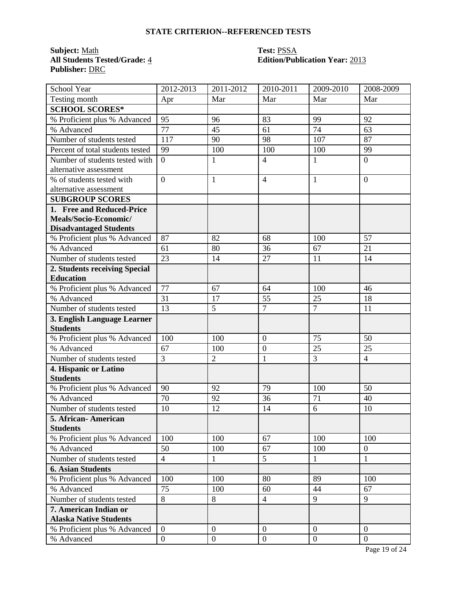# **STATE CRITERION--REFERENCED TESTS**

**Subject:** <u>Math</u> **Test:** <u>PSSA</u><br> **All Students Tested/Grade:** 4 **Test: PSSA**<br> **Edition/Pub Publisher:** DRC

# **All Students Tested/Grade:** 4 **Edition/Publication Year:** 2013

| School Year                      | 2012-2013        | 2011-2012        | 2010-2011      | 2009-2010      | 2008-2009        |
|----------------------------------|------------------|------------------|----------------|----------------|------------------|
| Testing month                    | Apr              | Mar              | Mar            | Mar            | Mar              |
| <b>SCHOOL SCORES*</b>            |                  |                  |                |                |                  |
| % Proficient plus % Advanced     | 95               | 96               | 83             | 99             | 92               |
| % Advanced                       | 77               | 45               | 61             | 74             | 63               |
| Number of students tested        | 117              | 90               | 98             | 107            | 87               |
| Percent of total students tested | 99               | 100              | 100            | 100            | 99               |
| Number of students tested with   | $\overline{0}$   | $\mathbf{1}$     | $\overline{4}$ | 1              | $\overline{0}$   |
| alternative assessment           |                  |                  |                |                |                  |
| % of students tested with        | $\overline{0}$   | $\mathbf{1}$     | $\overline{4}$ | 1              | $\overline{0}$   |
| alternative assessment           |                  |                  |                |                |                  |
| <b>SUBGROUP SCORES</b>           |                  |                  |                |                |                  |
| 1. Free and Reduced-Price        |                  |                  |                |                |                  |
| Meals/Socio-Economic/            |                  |                  |                |                |                  |
| <b>Disadvantaged Students</b>    |                  |                  |                |                |                  |
| % Proficient plus % Advanced     | 87               | 82               | 68             | 100            | 57               |
| % Advanced                       | 61               | 80               | 36             | 67             | 21               |
| Number of students tested        | 23               | 14               | 27             | 11             | 14               |
| 2. Students receiving Special    |                  |                  |                |                |                  |
| <b>Education</b>                 |                  |                  |                |                |                  |
| % Proficient plus % Advanced     | 77               | 67               | 64             | 100            | 46               |
| % Advanced                       | 31               | 17               | 55             | 25             | 18               |
| Number of students tested        | 13               | 5                | $\overline{7}$ | $\overline{7}$ | 11               |
| 3. English Language Learner      |                  |                  |                |                |                  |
| <b>Students</b>                  |                  |                  |                |                |                  |
| % Proficient plus % Advanced     | 100              | 100              | $\overline{0}$ | 75             | 50               |
| % Advanced                       | 67               | 100              | $\overline{0}$ | 25             | 25               |
| Number of students tested        | $\overline{3}$   | $\overline{2}$   | $\mathbf{1}$   | $\overline{3}$ | $\overline{4}$   |
| 4. Hispanic or Latino            |                  |                  |                |                |                  |
| <b>Students</b>                  |                  |                  |                |                |                  |
| % Proficient plus % Advanced     | 90               | 92               | 79             | 100            | 50               |
| % Advanced                       | 70               | 92               | 36             | 71             | 40               |
| Number of students tested        | 10               | 12               | 14             | 6              | 10               |
| 5. African-American              |                  |                  |                |                |                  |
| <b>Students</b>                  |                  |                  |                |                |                  |
| % Proficient plus % Advanced     | 100              | 100              | 67             | 100            | 100              |
| % Advanced                       | 50               | 100              | 67             | 100            | $\boldsymbol{0}$ |
| Number of students tested        | $\overline{4}$   | $\mathbf{1}$     | 5              | $\mathbf{1}$   | $\mathbf{1}$     |
| <b>6. Asian Students</b>         |                  |                  |                |                |                  |
| % Proficient plus % Advanced     | 100              | 100              | 80             | 89             | 100              |
| % Advanced                       | 75               | 100              | 60             | 44             | 67               |
| Number of students tested        | 8                | 8                | $\overline{4}$ | 9              | 9                |
| 7. American Indian or            |                  |                  |                |                |                  |
| <b>Alaska Native Students</b>    |                  |                  |                |                |                  |
| % Proficient plus % Advanced     | $\overline{0}$   | $\theta$         | $\mathbf{0}$   | $\theta$       | $\overline{0}$   |
| % Advanced                       | $\boldsymbol{0}$ | $\boldsymbol{0}$ | $\mathbf{0}$   | $\overline{0}$ | $\mathbf{0}$     |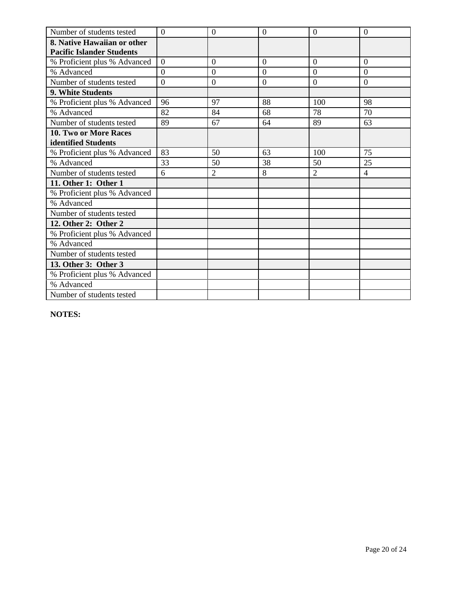| Number of students tested        | $\overline{0}$ | $\theta$       | $\overline{0}$ | $\overline{0}$ | $\overline{0}$ |
|----------------------------------|----------------|----------------|----------------|----------------|----------------|
| 8. Native Hawaiian or other      |                |                |                |                |                |
| <b>Pacific Islander Students</b> |                |                |                |                |                |
| % Proficient plus % Advanced     | $\overline{0}$ | $\overline{0}$ | $\overline{0}$ | $\overline{0}$ | $\overline{0}$ |
| % Advanced                       | $\theta$       | $\theta$       | $\theta$       | $\Omega$       | $\theta$       |
| Number of students tested        | $\overline{0}$ | $\mathbf{0}$   | $\overline{0}$ | $\overline{0}$ | $\overline{0}$ |
| 9. White Students                |                |                |                |                |                |
| % Proficient plus % Advanced     | 96             | 97             | 88             | 100            | 98             |
| % Advanced                       | 82             | 84             | 68             | 78             | 70             |
| Number of students tested        | 89             | 67             | 64             | 89             | 63             |
| 10. Two or More Races            |                |                |                |                |                |
| identified Students              |                |                |                |                |                |
| % Proficient plus % Advanced     | 83             | 50             | 63             | 100            | 75             |
| % Advanced                       | 33             | 50             | 38             | 50             | 25             |
| Number of students tested        | 6              | $\overline{2}$ | 8              | $\overline{2}$ | $\overline{4}$ |
| 11. Other 1: Other 1             |                |                |                |                |                |
| % Proficient plus % Advanced     |                |                |                |                |                |
| % Advanced                       |                |                |                |                |                |
| Number of students tested        |                |                |                |                |                |
| 12. Other 2: Other 2             |                |                |                |                |                |
| % Proficient plus % Advanced     |                |                |                |                |                |
| % Advanced                       |                |                |                |                |                |
| Number of students tested        |                |                |                |                |                |
| 13. Other 3: Other 3             |                |                |                |                |                |
| % Proficient plus % Advanced     |                |                |                |                |                |
| % Advanced                       |                |                |                |                |                |
| Number of students tested        |                |                |                |                |                |

**NOTES:**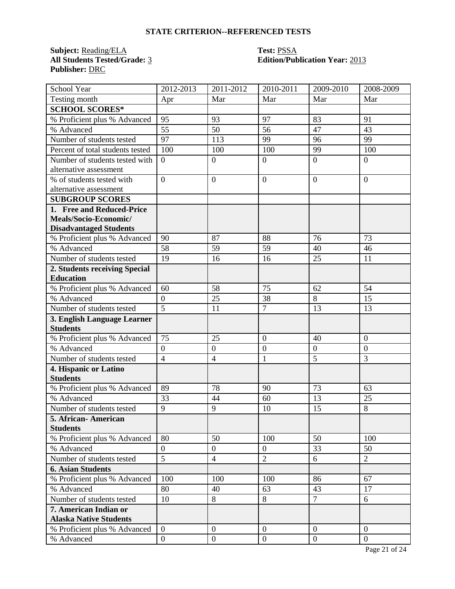# **STATE CRITERION--REFERENCED TESTS**

**Subject:** <u>Reading/ELA</u> **Test: PSSA**<br> **All Students Tested/Grade:** 3 **Edition/Pub Publisher:** DRC

# **All Students Tested/Grade:** 3 **Edition/Publication Year:** 2013

| School Year                      | 2012-2013        | 2011-2012        | 2010-2011      | 2009-2010      | 2008-2009      |
|----------------------------------|------------------|------------------|----------------|----------------|----------------|
| Testing month                    | Apr              | Mar              | Mar            | Mar            | Mar            |
| <b>SCHOOL SCORES*</b>            |                  |                  |                |                |                |
| % Proficient plus % Advanced     | 95               | 93               | 97             | 83             | 91             |
| % Advanced                       | 55               | 50               | 56             | 47             | 43             |
| Number of students tested        | 97               | 113              | 99             | 96             | 99             |
| Percent of total students tested | 100              | 100              | 100            | 99             | 100            |
| Number of students tested with   | $\theta$         | $\overline{0}$   | $\overline{0}$ | $\overline{0}$ | $\overline{0}$ |
| alternative assessment           |                  |                  |                |                |                |
| % of students tested with        | $\overline{0}$   | $\overline{0}$   | $\mathbf{0}$   | $\overline{0}$ | $\overline{0}$ |
| alternative assessment           |                  |                  |                |                |                |
| <b>SUBGROUP SCORES</b>           |                  |                  |                |                |                |
| 1. Free and Reduced-Price        |                  |                  |                |                |                |
| Meals/Socio-Economic/            |                  |                  |                |                |                |
| <b>Disadvantaged Students</b>    |                  |                  |                |                |                |
| % Proficient plus % Advanced     | 90               | 87               | 88             | 76             | 73             |
| % Advanced                       | 58               | 59               | 59             | 40             | 46             |
| Number of students tested        | 19               | 16               | 16             | 25             | 11             |
| 2. Students receiving Special    |                  |                  |                |                |                |
| <b>Education</b>                 |                  |                  |                |                |                |
| % Proficient plus % Advanced     | 60               | 58               | 75             | 62             | 54             |
| % Advanced                       | $\boldsymbol{0}$ | 25               | 38             | 8              | 15             |
| Number of students tested        | $\overline{5}$   | 11               | $\overline{7}$ | 13             | 13             |
| 3. English Language Learner      |                  |                  |                |                |                |
| <b>Students</b>                  |                  |                  |                |                |                |
| % Proficient plus % Advanced     | 75               | 25               | $\overline{0}$ | 40             | $\overline{0}$ |
| % Advanced                       | $\boldsymbol{0}$ | $\boldsymbol{0}$ | $\overline{0}$ | $\overline{0}$ | $\mathbf{0}$   |
| Number of students tested        | $\overline{4}$   | $\overline{4}$   | $\mathbf{1}$   | $\overline{5}$ | 3              |
| 4. Hispanic or Latino            |                  |                  |                |                |                |
| <b>Students</b>                  |                  |                  |                |                |                |
| % Proficient plus % Advanced     | 89               | 78               | 90             | 73             | 63             |
| % Advanced                       | 33               | 44               | 60             | 13             | 25             |
| Number of students tested        | 9                | 9                | 10             | 15             | 8              |
| 5. African-American              |                  |                  |                |                |                |
| <b>Students</b>                  |                  |                  |                |                |                |
| % Proficient plus % Advanced     | 80               | 50               | 100            | 50             | 100            |
| % Advanced                       | $\boldsymbol{0}$ | $\boldsymbol{0}$ | $\overline{0}$ | 33             | 50             |
| Number of students tested        | $\overline{5}$   | $\overline{4}$   | $\overline{2}$ | 6              | $\overline{2}$ |
| <b>6. Asian Students</b>         |                  |                  |                |                |                |
| % Proficient plus % Advanced     | 100              | 100              | 100            | 86             | 67             |
| % Advanced                       | 80               | 40               | 63             | 43             | 17             |
| Number of students tested        | 10               | 8                | 8              | $\overline{7}$ | 6              |
| 7. American Indian or            |                  |                  |                |                |                |
| <b>Alaska Native Students</b>    |                  |                  |                |                |                |
| % Proficient plus % Advanced     | $\overline{0}$   | $\theta$         | $\mathbf{0}$   | $\theta$       | $\overline{0}$ |
| % Advanced                       | $\boldsymbol{0}$ | $\boldsymbol{0}$ | $\mathbf{0}$   | $\overline{0}$ | $\mathbf{0}$   |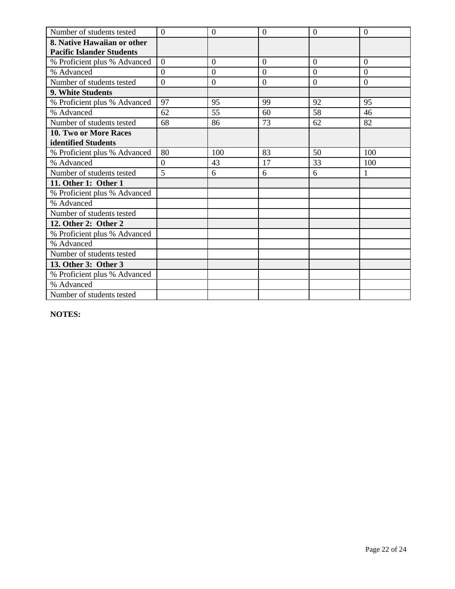| Number of students tested        | $\overline{0}$ | $\theta$       | $\overline{0}$ | $\overline{0}$ | $\overline{0}$ |
|----------------------------------|----------------|----------------|----------------|----------------|----------------|
| 8. Native Hawaiian or other      |                |                |                |                |                |
| <b>Pacific Islander Students</b> |                |                |                |                |                |
| % Proficient plus % Advanced     | $\overline{0}$ | $\overline{0}$ | $\overline{0}$ | $\overline{0}$ | $\overline{0}$ |
| % Advanced                       | $\theta$       | $\theta$       | $\theta$       | $\Omega$       | $\theta$       |
| Number of students tested        | $\overline{0}$ | $\mathbf{0}$   | $\overline{0}$ | $\overline{0}$ | $\overline{0}$ |
| 9. White Students                |                |                |                |                |                |
| % Proficient plus % Advanced     | 97             | 95             | 99             | 92             | 95             |
| % Advanced                       | 62             | 55             | 60             | 58             | 46             |
| Number of students tested        | 68             | 86             | 73             | 62             | 82             |
| 10. Two or More Races            |                |                |                |                |                |
| identified Students              |                |                |                |                |                |
| % Proficient plus % Advanced     | 80             | 100            | 83             | 50             | 100            |
| % Advanced                       | $\Omega$       | 43             | 17             | 33             | 100            |
| Number of students tested        | 5              | 6              | 6              | 6              | $\mathbf{1}$   |
| 11. Other 1: Other 1             |                |                |                |                |                |
| % Proficient plus % Advanced     |                |                |                |                |                |
| % Advanced                       |                |                |                |                |                |
| Number of students tested        |                |                |                |                |                |
| 12. Other 2: Other 2             |                |                |                |                |                |
| % Proficient plus % Advanced     |                |                |                |                |                |
| % Advanced                       |                |                |                |                |                |
| Number of students tested        |                |                |                |                |                |
| 13. Other 3: Other 3             |                |                |                |                |                |
| % Proficient plus % Advanced     |                |                |                |                |                |
| % Advanced                       |                |                |                |                |                |
| Number of students tested        |                |                |                |                |                |

**NOTES:**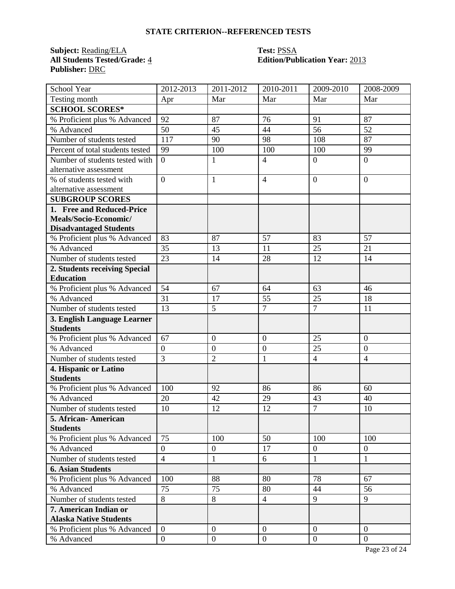# **STATE CRITERION--REFERENCED TESTS**

**Subject:** <u>Reading/ELA</u> **Test: PSSA**<br> **All Students Tested/Grade:** 4 **Edition/Pub Publisher:** DRC

# **All Students Tested/Grade:** 4 **Edition/Publication Year:** 2013

| School Year                      | 2012-2013        | 2011-2012        | 2010-2011        | 2009-2010        | 2008-2009      |
|----------------------------------|------------------|------------------|------------------|------------------|----------------|
| Testing month                    | Apr              | Mar              | Mar              | Mar              | Mar            |
| <b>SCHOOL SCORES*</b>            |                  |                  |                  |                  |                |
| % Proficient plus % Advanced     | 92               | 87               | 76               | 91               | 87             |
| % Advanced                       | 50               | 45               | 44               | 56               | 52             |
| Number of students tested        | 117              | 90               | 98               | 108              | 87             |
| Percent of total students tested | 99               | 100              | 100              | 100              | 99             |
| Number of students tested with   | $\overline{0}$   | $\mathbf{1}$     | $\overline{4}$   | $\overline{0}$   | $\overline{0}$ |
| alternative assessment           |                  |                  |                  |                  |                |
| % of students tested with        | $\overline{0}$   | $\mathbf{1}$     | $\overline{4}$   | $\overline{0}$   | $\theta$       |
| alternative assessment           |                  |                  |                  |                  |                |
| <b>SUBGROUP SCORES</b>           |                  |                  |                  |                  |                |
| 1. Free and Reduced-Price        |                  |                  |                  |                  |                |
| Meals/Socio-Economic/            |                  |                  |                  |                  |                |
| <b>Disadvantaged Students</b>    |                  |                  |                  |                  |                |
| % Proficient plus % Advanced     | 83               | 87               | 57               | 83               | 57             |
| % Advanced                       | 35               | 13               | 11               | 25               | 21             |
| Number of students tested        | 23               | 14               | 28               | 12               | 14             |
| 2. Students receiving Special    |                  |                  |                  |                  |                |
| <b>Education</b>                 |                  |                  |                  |                  |                |
| % Proficient plus % Advanced     | 54               | 67               | 64               | 63               | 46             |
| % Advanced                       | 31               | 17               | 55               | 25               | 18             |
| Number of students tested        | 13               | 5                | $\tau$           | $\overline{7}$   | 11             |
| 3. English Language Learner      |                  |                  |                  |                  |                |
| <b>Students</b>                  |                  |                  |                  |                  |                |
| % Proficient plus % Advanced     | 67               | $\boldsymbol{0}$ | $\overline{0}$   | 25               | $\overline{0}$ |
| % Advanced                       | $\boldsymbol{0}$ | $\boldsymbol{0}$ | $\boldsymbol{0}$ | 25               | $\overline{0}$ |
| Number of students tested        | $\overline{3}$   | $\overline{2}$   | $\mathbf{1}$     | $\overline{4}$   | $\overline{4}$ |
| 4. Hispanic or Latino            |                  |                  |                  |                  |                |
| <b>Students</b>                  |                  |                  |                  |                  |                |
| % Proficient plus % Advanced     | 100              | 92               | 86               | 86               | 60             |
| % Advanced                       | 20               | 42               | 29               | 43               | 40             |
| Number of students tested        | 10               | 12               | 12               | $\overline{7}$   | 10             |
| 5. African- American             |                  |                  |                  |                  |                |
| <b>Students</b>                  |                  |                  |                  |                  |                |
| % Proficient plus % Advanced     | 75               | 100              | 50               | 100              | 100            |
| % Advanced                       | $\overline{0}$   | $\overline{0}$   | 17               | $\boldsymbol{0}$ | $\overline{0}$ |
| Number of students tested        | $\overline{4}$   | $\mathbf{1}$     | 6                | $\mathbf{1}$     | $\mathbf{1}$   |
| <b>6. Asian Students</b>         |                  |                  |                  |                  |                |
| % Proficient plus % Advanced     | 100              | 88               | 80               | 78               | 67             |
| % Advanced                       | 75               | 75               | 80               | 44               | 56             |
| Number of students tested        | 8                | 8                | $\overline{4}$   | 9                | 9              |
| 7. American Indian or            |                  |                  |                  |                  |                |
| <b>Alaska Native Students</b>    |                  |                  |                  |                  |                |
| % Proficient plus % Advanced     | $\theta$         | $\boldsymbol{0}$ | $\overline{0}$   | $\boldsymbol{0}$ | $\overline{0}$ |
| % Advanced                       | $\overline{0}$   | $\boldsymbol{0}$ | $\boldsymbol{0}$ | $\overline{0}$   | $\overline{0}$ |